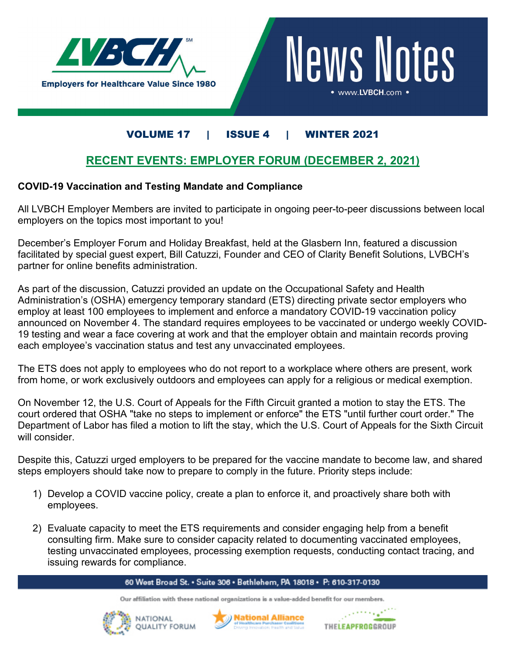



## VOLUME 17 | ISSUE 4 | WINTER 2021

### **RECENT EVENTS: EMPLOYER FORUM (DECEMBER 2, 2021)**

### **COVID-19 Vaccination and Testing Mandate and Compliance**

All LVBCH Employer Members are invited to participate in ongoing peer-to-peer discussions between local employers on the topics most important to you!

December's Employer Forum and Holiday Breakfast, held at the Glasbern Inn, featured a discussion facilitated by special guest expert, Bill Catuzzi, Founder and CEO of Clarity Benefit Solutions, LVBCH's partner for online benefits administration.

As part of the discussion, Catuzzi provided an update on the Occupational Safety and Health Administration's (OSHA) emergency temporary standard (ETS) directing private sector employers who employ at least 100 employees to implement and enforce a mandatory COVID-19 vaccination policy announced on November 4. The standard requires employees to be vaccinated or undergo weekly COVID-19 testing and wear a face covering at work and that the employer obtain and maintain records proving each employee's vaccination status and test any unvaccinated employees.

The ETS does not apply to employees who do not report to a workplace where others are present, work from home, or work exclusively outdoors and employees can apply for a religious or medical exemption.

On November 12, the U.S. Court of Appeals for the Fifth Circuit granted a motion to stay the ETS. The court ordered that OSHA "take no steps to implement or enforce" the ETS "until further court order." The Department of Labor has filed a motion to lift the stay, which the U.S. Court of Appeals for the Sixth Circuit will consider.

Despite this, Catuzzi urged employers to be prepared for the vaccine mandate to become law, and shared steps employers should take now to prepare to comply in the future. Priority steps include:

- 1) Develop a COVID vaccine policy, create a plan to enforce it, and proactively share both with employees.
- 2) Evaluate capacity to meet the ETS requirements and consider engaging help from a benefit consulting firm. Make sure to consider capacity related to documenting vaccinated employees, testing unvaccinated employees, processing exemption requests, conducting contact tracing, and issuing rewards for compliance.

#### 60 West Broad St. • Suite 306 • Bethlehem, PA 18018 • P: 610-317-0130

Our affiliation with these national organizations is a value-added benefit for our members.